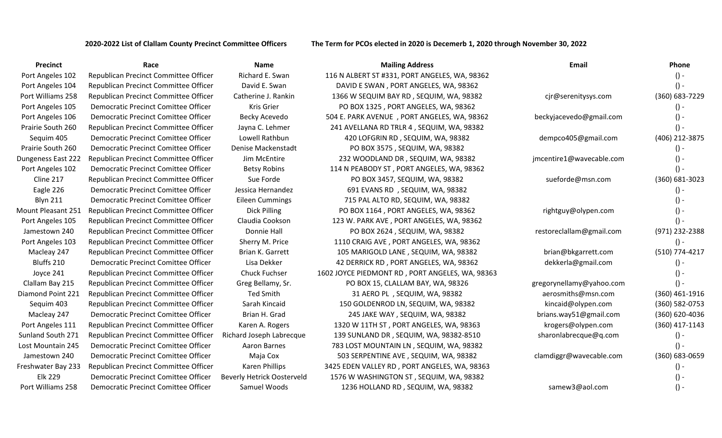**2020-2022 List of Clallam County Precinct Committee Officers The Term for PCOs elected in 2020 is Decemerb 1, 2020 through November 30, 2022**

| <b>Precinct</b>    | Race                                        | <b>Name</b>                       | <b>Mailing Address</b>                          | Email                    | <b>Phone</b>   |
|--------------------|---------------------------------------------|-----------------------------------|-------------------------------------------------|--------------------------|----------------|
| Port Angeles 102   | Republican Precinct Committee Officer       | Richard E. Swan                   | 116 N ALBERT ST #331, PORT ANGELES, WA, 98362   |                          | $() -$         |
| Port Angeles 104   | Republican Precinct Committee Officer       | David E. Swan                     | DAVID E SWAN, PORT ANGELES, WA, 98362           |                          |                |
| Port Williams 258  | Republican Precinct Committee Officer       | Catherine J. Rankin               | 1366 W SEQUIM BAY RD, SEQUIM, WA, 98382         | cjr@serenitysys.com      | (360) 683-7229 |
| Port Angeles 105   | Democratic Precinct Comittee Officer        | <b>Kris Grier</b>                 | PO BOX 1325, PORT ANGELES, WA, 98362            |                          |                |
| Port Angeles 106   | Democratic Precinct Comittee Officer        | Becky Acevedo                     | 504 E. PARK AVENUE , PORT ANGELES, WA, 98362    | beckyjacevedo@gmail.com  |                |
| Prairie South 260  | Republican Precinct Committee Officer       | Jayna C. Lehmer                   | 241 AVELLANA RD TRLR 4, SEQUIM, WA, 98382       |                          |                |
| Sequim 405         | Democratic Precinct Comittee Officer        | Lowell Rathbun                    | 420 LOFGRIN RD, SEQUIM, WA, 98382               | dempco405@gmail.com      | (406) 212-3875 |
| Prairie South 260  | Democratic Precinct Comittee Officer        | Denise Mackenstadt                | PO BOX 3575, SEQUIM, WA, 98382                  |                          | $() -$         |
| Dungeness East 222 | Republican Precinct Committee Officer       | Jim McEntire                      | 232 WOODLAND DR, SEQUIM, WA, 98382              | jmcentire1@wavecable.com |                |
| Port Angeles 102   | <b>Democratic Precinct Comittee Officer</b> | <b>Betsy Robins</b>               | 114 N PEABODY ST, PORT ANGELES, WA, 98362       |                          | $() -$         |
| Cline 217          | Republican Precinct Committee Officer       | Sue Forde                         | PO BOX 3457, SEQUIM, WA, 98382                  | sueforde@msn.com         | (360) 681-3023 |
| Eagle 226          | Democratic Precinct Comittee Officer        | Jessica Hernandez                 | 691 EVANS RD, SEQUIM, WA, 98382                 |                          |                |
| <b>Blyn 211</b>    | Democratic Precinct Comittee Officer        | <b>Eileen Cummings</b>            | 715 PAL ALTO RD, SEQUIM, WA, 98382              |                          |                |
| Mount Pleasant 251 | Republican Precinct Committee Officer       | Dick Pilling                      | PO BOX 1164, PORT ANGELES, WA, 98362            | rightguy@olypen.com      |                |
| Port Angeles 105   | Republican Precinct Committee Officer       | Claudia Cookson                   | 123 W. PARK AVE, PORT ANGELES, WA, 98362        |                          |                |
| Jamestown 240      | Republican Precinct Committee Officer       | Donnie Hall                       | PO BOX 2624, SEQUIM, WA, 98382                  | restoreclallam@gmail.com | (971) 232-2388 |
| Port Angeles 103   | Republican Precinct Committee Officer       | Sherry M. Price                   | 1110 CRAIG AVE, PORT ANGELES, WA, 98362         |                          |                |
| Macleay 247        | Republican Precinct Committee Officer       | Brian K. Garrett                  | 105 MARIGOLD LANE, SEQUIM, WA, 98382            | brian@bkgarrett.com      | (510) 774-4217 |
| Bluffs 210         | Democratic Precinct Comittee Officer        | Lisa Dekker                       | 42 DERRICK RD, PORT ANGELES, WA, 98362          | dekkerla@gmail.com       | $() -$         |
| Joyce 241          | Republican Precinct Committee Officer       | <b>Chuck Fuchser</b>              | 1602 JOYCE PIEDMONT RD, PORT ANGELES, WA, 98363 |                          |                |
| Clallam Bay 215    | Republican Precinct Committee Officer       | Greg Bellamy, Sr.                 | PO BOX 15, CLALLAM BAY, WA, 98326               | gregorynellamy@yahoo.com |                |
| Diamond Point 221  | Republican Precinct Committee Officer       | <b>Ted Smith</b>                  | 31 AERO PL, SEQUIM, WA, 98382                   | aerosmiths@msn.com       | (360) 461-1916 |
| Sequim 403         | Republican Precinct Committee Officer       | Sarah Kincaid                     | 150 GOLDENROD LN, SEQUIM, WA, 98382             | kincaid@olypen.com       | (360) 582-0753 |
| Macleay 247        | Democratic Precinct Comittee Officer        | Brian H. Grad                     | 245 JAKE WAY, SEQUIM, WA, 98382                 | brians.way51@gmail.com   | (360) 620-4036 |
| Port Angeles 111   | Republican Precinct Committee Officer       | Karen A. Rogers                   | 1320 W 11TH ST, PORT ANGELES, WA, 98363         | krogers@olypen.com       | (360) 417-1143 |
| Sunland South 271  | Republican Precinct Committee Officer       | Richard Joseph Labrecque          | 139 SUNLAND DR, SEQUIM, WA, 98382-8510          | sharonlabrecque@q.com    | $() -$         |
| Lost Mountain 245  | <b>Democratic Precinct Comittee Officer</b> | Aaron Barnes                      | 783 LOST MOUNTAIN LN, SEQUIM, WA, 98382         |                          | $() -$         |
| Jamestown 240      | Democratic Precinct Comittee Officer        | Maja Cox                          | 503 SERPENTINE AVE, SEQUIM, WA, 98382           | clamdiggr@wavecable.com  | (360) 683-0659 |
| Freshwater Bay 233 | Republican Precinct Committee Officer       | Karen Phillips                    | 3425 EDEN VALLEY RD, PORT ANGELES, WA, 98363    |                          |                |
| <b>Elk 229</b>     | <b>Democratic Precinct Comittee Officer</b> | <b>Beverly Hetrick Oosterveld</b> | 1576 W WASHINGTON ST, SEQUIM, WA, 98382         |                          |                |
| Port Williams 258  | Democratic Precinct Comittee Officer        | Samuel Woods                      | 1236 HOLLAND RD, SEQUIM, WA, 98382              | samew3@aol.com           |                |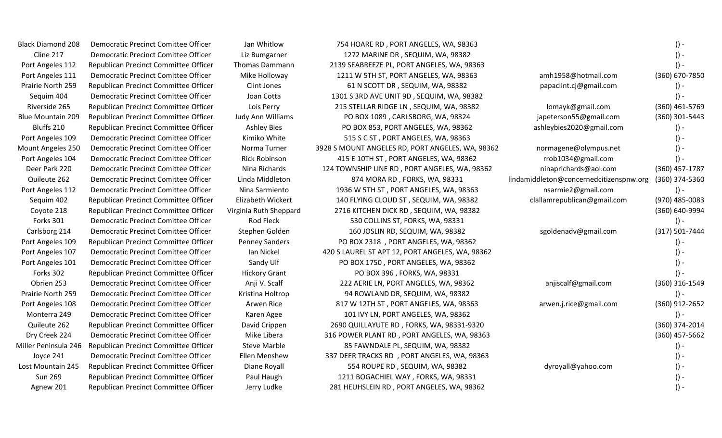Cline 217 Democratic Precinct Comittee Officer Liz Bumgarner 1272 MARINE DR, SEQUIM, WA, 98382 () -Port Angeles 112 Republican Precinct Committee Officer Thomas Dammann 2139 SEABREEZE PL, PORT ANGELES, WA, 98363 Port Angeles 111 Democratic Precinct Comittee Officer Mike Holloway 1211 W 5TH ST, PORT ANGELES, WA, 98363 amh1958@hotmail.com (360) 670-7850 Prairie North 259 Republican Precinct Committee Officer Clint Jones 61 N SCOTT DR, SEQUIM, WA, 98382 papaclint.cj@gmail.com () -Sequim 404 Democratic Precinct Comittee Officer Joan Cotta 1301 S 3RD AVE UNIT 9D , SEQUIM, WA, 98382 () -Riverside 265 Republican Precinct Committee Officer Lois Perry 215 STELLAR RIDGE LN , SEQUIM, WA, 98382 lomayk@gmail.com (360) 461-5769 Blue Mountain 209 Republican Precinct Committee Officer Judy Ann Williams PO BOX 1089, CARLSBORG, WA, 98324 japeterson55@gmail.com (360) 301-5443 Bluffs 210 Republican Precinct Committee Officer Ashley Bies PO BOX 853, PORT ANGELES, WA, 98362 ashleybies2020@gmail.com () -Port Angeles 109 Democratic Precinct Comittee Officer Kimiko White 515 S C ST, PORT ANGELES, WA, 98363 () - () -Mount Angeles 250 Democratic Precinct Comittee Officer Norma Turner 3928 S MOUNT ANGELES RD, PORT ANGELES, WA, 98362 normagene@olympus.net () -Port Angeles 104 Democratic Precinct Comittee Officer Rick Robinson 415 E 10TH ST, PORT ANGELES, WA, 98362 rrob1034@gmail.com () -Deer Park 220 Democratic Precinct Comittee Officer Nina Richards 124 TOWNSHIP LINE RD , PORT ANGELES, WA, 98362 ninaprichards@aol.com (360) 457-1787 Quileute 262 Democratic Precinct Comittee Officer Linda Middleton 874 MORA RD , FORKS, WA, 98331 lindamiddleton@concernedcitizenspnw.org (360) 374-5360 Port Angeles 112 Democratic Precinct Comittee Officer Nina Sarmiento 1936 W 5TH ST, PORT ANGELES, WA, 98363 nsarmie2@gmail.com () -Sequim 402 Republican Precinct Committee Officer Elizabeth Wickert 140 FLYING CLOUD ST , SEQUIM, WA, 98382 clallamrepublican@gmail.com (970) 485-0083 Coyote 218 Republican Precinct Committee Officer Virginia Ruth Sheppard 2716 KITCHEN DICK RD , SEQUIM, WA, 98382 (360) 640-9994 Forks 301 Democratic Precinct Comittee Officer Rod Fleck 530 COLLINS ST, FORKS, WA, 98331 () -Carlsborg 214 Democratic Precinct Comittee Officer Stephen Golden 160 JOSLIN RD, SEQUIM, WA, 98382 sgoldenadv@gmail.com (317) 501-7444 Port Angeles 109 Republican Precinct Committee Officer Penney Sanders PO BOX 2318, PORT ANGELES, WA, 98362 () -Port Angeles 107 Democratic Precinct Comittee Officer Ian Nickel 420 S LAUREL ST APT 12, PORT ANGELES, WA, 98362 () -Port Angeles 101 Democratic Precinct Comittee Officer Sandy Ulf PO BOX 1750, PORT ANGELES, WA, 98362 () -Forks 302 Republican Precinct Committee Officer Hickory Grant PO BOX 396, FORKS, WA, 98331 () -Obrien 253 Democratic Precinct Comittee Officer Anji V. Scalf 222 AERIE LN, PORT ANGELES, WA, 98362 anjiscalf@gmail.com (360) 316-1549 Prairie North 259 Democratic Precinct Comittee Officer Kristina Holtrop 94 ROWLAND DR, SEQUIM, WA, 98382 () -Port Angeles 108 Democratic Precinct Comittee Officer Arwen Rice 817 W 12TH ST, PORT ANGELES, WA, 98363 arwen.j.rice@gmail.com (360) 912-2652 Monterra 249 Democratic Precinct Comittee Officer Karen Agee 101 IVY LN, PORT ANGELES, WA, 98362 () - () -Quileute 262 Republican Precinct Committee Officer David Crippen 2690 QUILLAYUTE RD , FORKS, WA, 98331-9320 (360) 374-2014 Dry Creek 224 Democratic Precinct Comittee Officer Mike Libera 316 POWER PLANT RD , PORT ANGELES, WA, 98363 (360) 457-5662 Miller Peninsula 246 Republican Precinct Committee Officer Steve Marble 85 FAWNDALE PL, SEQUIM, WA, 98382 () -Joyce 241 Democratic Precinct Comittee Officer Ellen Menshew 337 DEER TRACKS RD , PORT ANGELES, WA, 98363 () - Lost Mountain 245 Republican Precinct Committee Officer Diane Royall 554 ROUPE RD, SEQUIM, WA, 98382 dyroyall@yahoo.com () -Sun 269 Republican Precinct Committee Officer Paul Haugh 1211 BOGACHIEL WAY , FORKS, WA, 98331 () -Agnew 201 Republican Precinct Committee Officer Jerry Ludke 281 HEUHSLEIN RD, PORT ANGELES, WA, 98362 () - () -

Black Diamond 208 Democratic Precinct Comittee Officer Jan Whitlow 754 HOARE RD, PORT ANGELES, WA, 98363 () -